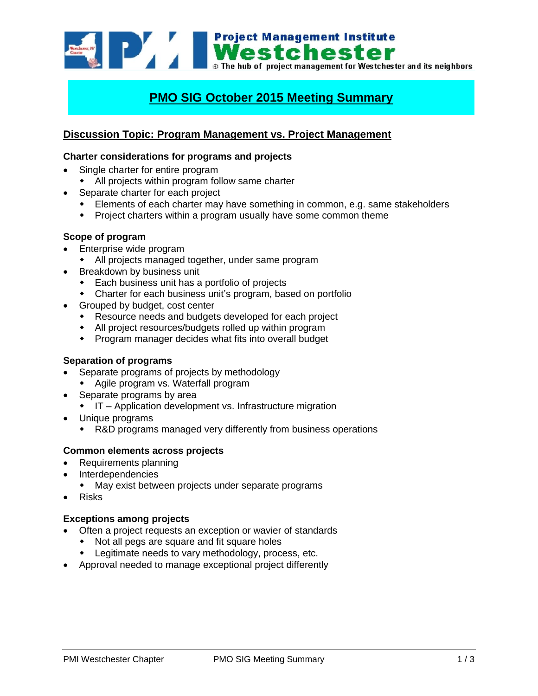**Example 1994 Mestchester**<br>**Mestchester**<br>**Mestchester** and its neighbors<br>**Mestchester** and its neighbors

# **PMO SIG October 2015 Meeting Summary**

## **Discussion Topic: Program Management vs. Project Management**

### **Charter considerations for programs and projects**

- Single charter for entire program
	- All projects within program follow same charter
- Separate charter for each project
	- Elements of each charter may have something in common, e.g. same stakeholders
	- Project charters within a program usually have some common theme

### **Scope of program**

- Enterprise wide program
	- All projects managed together, under same program
- Breakdown by business unit
	- Each business unit has a portfolio of projects
	- Charter for each business unit's program, based on portfolio
- Grouped by budget, cost center
	- Resource needs and budgets developed for each project
	- All project resources/budgets rolled up within program
	- Program manager decides what fits into overall budget

### **Separation of programs**

- Separate programs of projects by methodology
	- Agile program vs. Waterfall program
- Separate programs by area
	- IT Application development vs. Infrastructure migration
- Unique programs
	- R&D programs managed very differently from business operations

### **Common elements across projects**

- Requirements planning
- Interdependencies
	- May exist between projects under separate programs
- Risks

### **Exceptions among projects**

- Often a project requests an exception or wavier of standards
	- Not all pegs are square and fit square holes
	- Legitimate needs to vary methodology, process, etc.
- Approval needed to manage exceptional project differently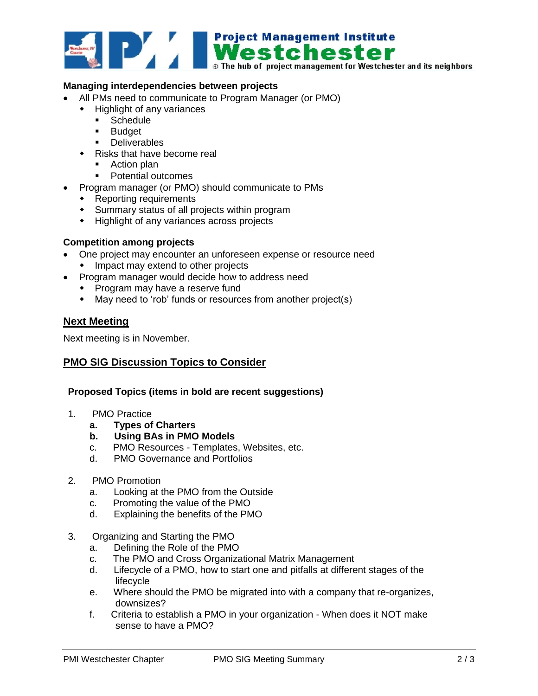

- All PMs need to communicate to Program Manager (or PMO)
	- Highlight of any variances
		- **Schedule**
		- **Budget**
		- **Deliverables**
	- Risks that have become real
		- Action plan
		- Potential outcomes
- Program manager (or PMO) should communicate to PMs
	- Reporting requirements
	- Summary status of all projects within program
	- Highlight of any variances across projects

### **Competition among projects**

- One project may encounter an unforeseen expense or resource need
	- Impact may extend to other projects
- Program manager would decide how to address need
	- Program may have a reserve fund
	- May need to 'rob' funds or resources from another project(s)

### **Next Meeting**

Next meeting is in November.

### **PMO SIG Discussion Topics to Consider**

### **Proposed Topics (items in bold are recent suggestions)**

- 1. PMO Practice
	- **a. Types of Charters**
	- **b. Using BAs in PMO Models**
	- c. PMO Resources Templates, Websites, etc.
	- d. PMO Governance and Portfolios
- 2. PMO Promotion
	- a. Looking at the PMO from the Outside
	- c. Promoting the value of the PMO
	- d. Explaining the benefits of the PMO
- 3. Organizing and Starting the PMO
	- a. Defining the Role of the PMO
	- c. The PMO and Cross Organizational Matrix Management
	- d. Lifecycle of a PMO, how to start one and pitfalls at different stages of the lifecycle
	- e. Where should the PMO be migrated into with a company that re-organizes, downsizes?
	- f. Criteria to establish a PMO in your organization When does it NOT make sense to have a PMO?